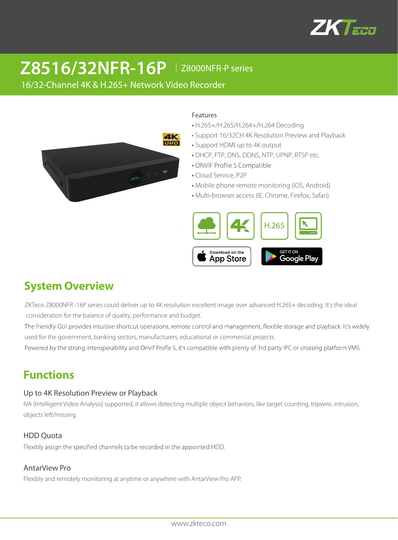

# **Z8516/32NFR-16P** │Z8000NFR-P series

16/32-Channel 4K & H.265+ Network Video Recorder



#### Features

- H.265+/H.265/H.264+/H.264 Decoding
- Support 16/32CH 4K Resolution Preview and Playback
- Support HDMI up to 4K output
- DHCP, FTP, DNS, DDNS, NTP, UPNP, RTSP etc.
- ONVIF Profile S Compatible
- Cloud Service, P2P
- Mobile phone remote monitoring (iOS, Android)
- Multi-browser access (IE, Chrome, Firefox, Safari)



# **System Overview**

ZKTeco Z8000NFR -16P series could deliver up to 4K resolution excellent image over advanced H.265+ decoding. It's the ideal consideration for the balance of quality, performance and budget.

The friendly GUI provides intuitive shortcut operations, remote control and management, flexible storage and playback. It's widely used for the government, banking sectors, manufacturers, educational or commercial projects.

Powered by the strong interoperability and Onvif Profle S, it's compatible with plenty of 3rd party IPC or crossing platform VMS.

## **Functions**

#### Up to 4K Resolution Preview or Playback

IVA (Intelligent Video Analysis) supported, it allows detecting multiple object behaviors, like target counting, tripwire, intrusion, objects left/missing.

#### HDD Quota

Flexibly assign the specified channels to be recorded in the appointed HDD.

#### AntarView Pro

Flexibly and remotely monitoring at anytime or anywhere with AntarView Pro APP.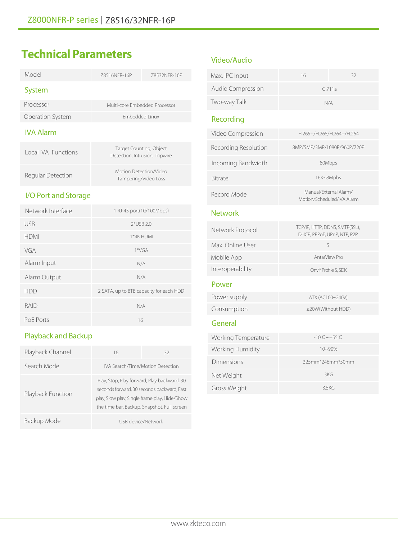# **Technical Parameters**

| Model                        | 78516NFR-16P                                              | Z8532NFR-16P |
|------------------------------|-----------------------------------------------------------|--------------|
| <b>System</b>                |                                                           |              |
| Processor                    | Multi-core Embedded Processor                             |              |
| Operation System             | <b>Embedded Linux</b>                                     |              |
| <b>IVA Alarm</b>             |                                                           |              |
| Local IVA Eunctions          | Target Counting, Object<br>Detection, Intrusion, Tripwire |              |
| Regular Detection            | Motion Detection/Video<br>Tampering/Video Loss            |              |
| I/O Port and Storage         |                                                           |              |
| Network Interface            | 1 RJ-45 port(10/100Mbps)                                  |              |
| <b>USB</b>                   | 2*USB 2.0                                                 |              |
| <b>HDMI</b>                  | 1*4K HDMI                                                 |              |
| VGA                          | $1*VGA$                                                   |              |
| Alarm Input                  | N/A                                                       |              |
| $\Delta$ larm $\Omega$ utnut | N/A                                                       |              |

| Network Interface | 1 RJ-45 port(10/100Mbps)                |
|-------------------|-----------------------------------------|
| <b>USB</b>        | $2*USB 2.0$                             |
| <b>HDMI</b>       | 1*4K HDMI                               |
| VGA               | $1*VGA$                                 |
| Alarm Input       | N/A                                     |
| Alarm Output      | N/A                                     |
| <b>HDD</b>        | 2 SATA, up to 8TB capacity for each HDD |
| RAID              | N/A                                     |
| PoE Ports         | 16                                      |
|                   |                                         |

### Playback and Backup

| Playback Channel  | 16                                                                                                                                                                                        | 32                 |
|-------------------|-------------------------------------------------------------------------------------------------------------------------------------------------------------------------------------------|--------------------|
| Search Mode       | IVA Search/Time/Motion Detection                                                                                                                                                          |                    |
| Playback Function | Play, Stop, Play forward, Play backward, 30<br>seconds forward, 30 seconds backward, Fast<br>play, Slow play, Single frame play, Hide/Show<br>the time bar, Backup, Snapshot, Full screen |                    |
| Backup Mode       |                                                                                                                                                                                           | USB device/Network |

### Video/Audio

| Max. IPC Input           | 16  | 32     |
|--------------------------|-----|--------|
| <b>Audio Compression</b> |     | G.711a |
| Two-way Talk             | N/A |        |

### Recording

| Video Compression    | H.265+/H.265/H.264+/H.264                            |
|----------------------|------------------------------------------------------|
| Recording Resolution | 8MP/5MP/3MP/1080P/960P/720P                          |
| Incoming Bandwidth   | 80Mbps                                               |
| <b>Bitrate</b>       | 16K~8Mpbs                                            |
| Record Mode          | Manual/External Alarm/<br>Motion/Scheduled/IVA Alarm |

#### **Network**

| Network Protocol | TCP/IP, HTTP, DDNS, SMTP(SSL),<br>DHCP, PPPoE, UPnP, NTP, P2P |
|------------------|---------------------------------------------------------------|
| Max. Online User | 5                                                             |
| Mobile App       | AntarView Pro                                                 |
| Interoperability | Onvif Profile S. SDK                                          |
| Power            |                                                               |
| Power supply     | ATX (AC100~240V)                                              |
| Consumption      | $\leq$ 20W(Without HDD)                                       |
|                  |                                                               |

### General

| Working Temperature | $-10^{\circ}$ C ~+55 $^{\circ}$ C |
|---------------------|-----------------------------------|
| Working Humidity    | $10 - 90%$                        |
| Dimensions          | $325$ mm*246mm*50mm               |
| Net Weight          | 3KG                               |
| Gross Weight        | 3.5KG                             |